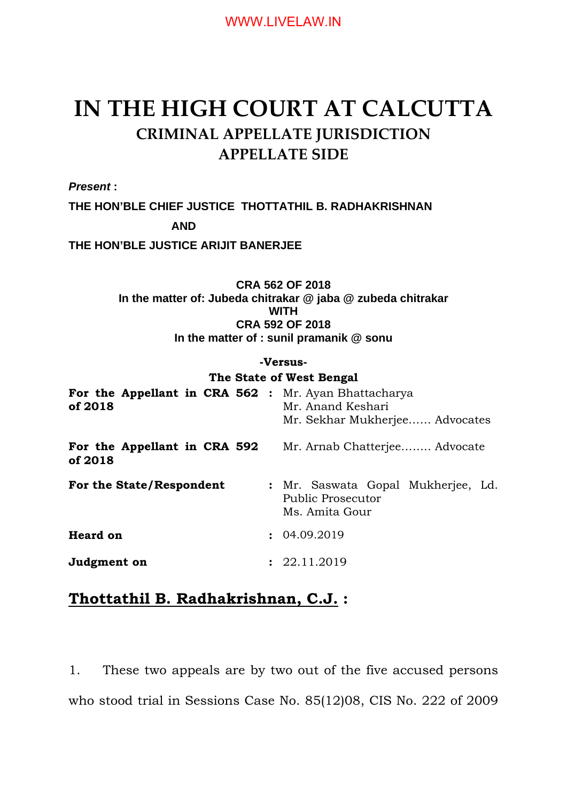# **IN THE HIGH COURT AT CALCUTTA CRIMINAL APPELLATE JURISDICTION APPELLATE SIDE**

*Present* **:**

**THE HON'BLE CHIEF JUSTICE THOTTATHIL B. RADHAKRISHNAN**

**AND**

**THE HON'BLE JUSTICE ARIJIT BANERJEE**

**CRA 562 OF 2018 In the matter of: Jubeda chitrakar @ jaba @ zubeda chitrakar WITH CRA 592 OF 2018 In the matter of : sunil pramanik @ sonu**

## **-Versus-**

### **The State of West Bengal**

| For the Appellant in CRA 562 :<br>of 2018 | Mr. Ayan Bhattacharya<br>Mr. Anand Keshari<br>Mr. Sekhar Mukherjee Advocates |
|-------------------------------------------|------------------------------------------------------------------------------|
| For the Appellant in CRA 592<br>of 2018   | Mr. Arnab Chatterjee Advocate                                                |
| For the State/Respondent                  | : Mr. Saswata Gopal Mukherjee, Ld.<br>Public Prosecutor<br>Ms. Amita Gour    |
| <b>Heard on</b>                           | : 04.09.2019                                                                 |
| Judgment on                               | : 22.11.2019                                                                 |

# **Thottathil B. Radhakrishnan, C.J. :**

1. These two appeals are by two out of the five accused persons who stood trial in Sessions Case No. 85(12)08, CIS No. 222 of 2009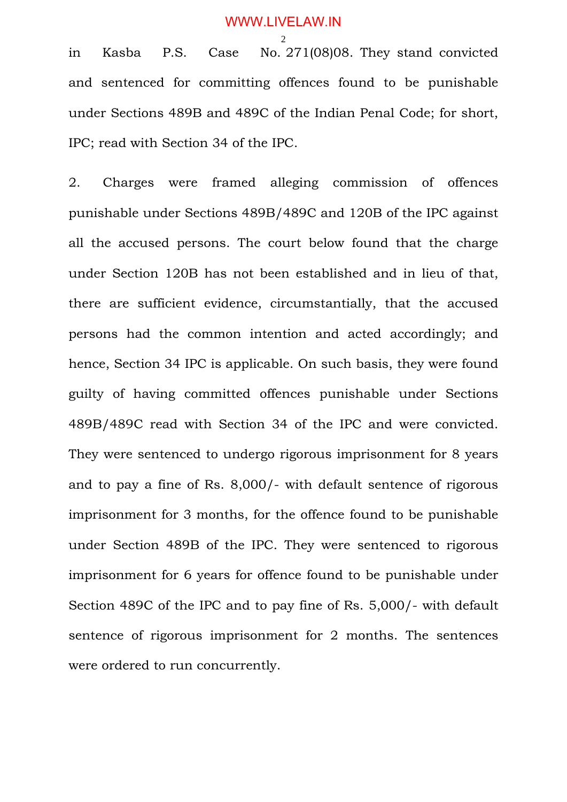2 in Kasba P.S. Case No. 271(08)08. They stand convicted and sentenced for committing offences found to be punishable under Sections 489B and 489C of the Indian Penal Code; for short, IPC; read with Section 34 of the IPC.

2. Charges were framed alleging commission of offences punishable under Sections 489B/489C and 120B of the IPC against all the accused persons. The court below found that the charge under Section 120B has not been established and in lieu of that, there are sufficient evidence, circumstantially, that the accused persons had the common intention and acted accordingly; and hence, Section 34 IPC is applicable. On such basis, they were found guilty of having committed offences punishable under Sections 489B/489C read with Section 34 of the IPC and were convicted. They were sentenced to undergo rigorous imprisonment for 8 years and to pay a fine of Rs. 8,000/- with default sentence of rigorous imprisonment for 3 months, for the offence found to be punishable under Section 489B of the IPC. They were sentenced to rigorous imprisonment for 6 years for offence found to be punishable under Section 489C of the IPC and to pay fine of Rs. 5,000/- with default sentence of rigorous imprisonment for 2 months. The sentences were ordered to run concurrently.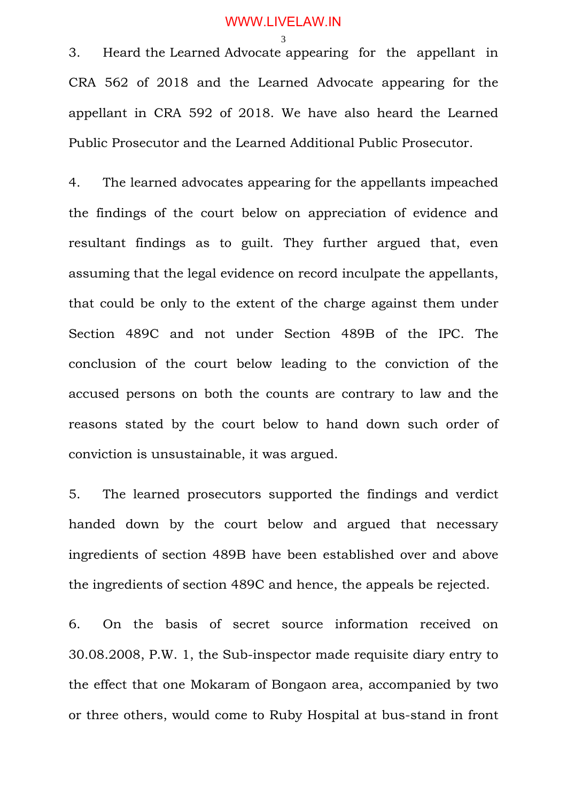3. Heard the Learned Advocate appearing for the appellant in CRA 562 of 2018 and the Learned Advocate appearing for the appellant in CRA 592 of 2018. We have also heard the Learned Public Prosecutor and the Learned Additional Public Prosecutor.

4. The learned advocates appearing for the appellants impeached the findings of the court below on appreciation of evidence and resultant findings as to guilt. They further argued that, even assuming that the legal evidence on record inculpate the appellants, that could be only to the extent of the charge against them under Section 489C and not under Section 489B of the IPC. The conclusion of the court below leading to the conviction of the accused persons on both the counts are contrary to law and the reasons stated by the court below to hand down such order of conviction is unsustainable, it was argued.

5. The learned prosecutors supported the findings and verdict handed down by the court below and argued that necessary ingredients of section 489B have been established over and above the ingredients of section 489C and hence, the appeals be rejected.

6. On the basis of secret source information received on 30.08.2008, P.W. 1, the Sub-inspector made requisite diary entry to the effect that one Mokaram of Bongaon area, accompanied by two or three others, would come to Ruby Hospital at bus-stand in front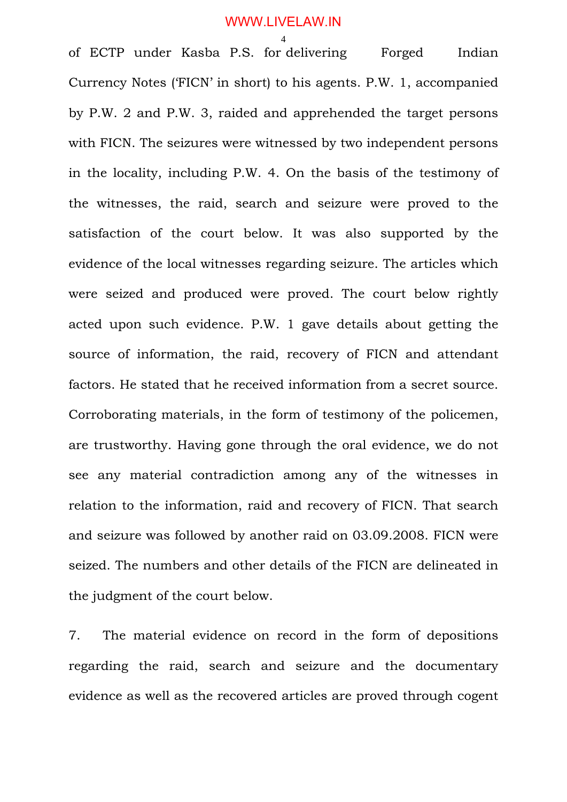## WWW.LIVELAW.IN

4 of ECTP under Kasba P.S. for delivering Forged Indian Currency Notes ('FICN' in short) to his agents. P.W. 1, accompanied by P.W. 2 and P.W. 3, raided and apprehended the target persons with FICN. The seizures were witnessed by two independent persons in the locality, including P.W. 4. On the basis of the testimony of the witnesses, the raid, search and seizure were proved to the satisfaction of the court below. It was also supported by the evidence of the local witnesses regarding seizure. The articles which were seized and produced were proved. The court below rightly acted upon such evidence. P.W. 1 gave details about getting the source of information, the raid, recovery of FICN and attendant factors. He stated that he received information from a secret source. Corroborating materials, in the form of testimony of the policemen, are trustworthy. Having gone through the oral evidence, we do not see any material contradiction among any of the witnesses in relation to the information, raid and recovery of FICN. That search and seizure was followed by another raid on 03.09.2008. FICN were seized. The numbers and other details of the FICN are delineated in the judgment of the court below.

7. The material evidence on record in the form of depositions regarding the raid, search and seizure and the documentary evidence as well as the recovered articles are proved through cogent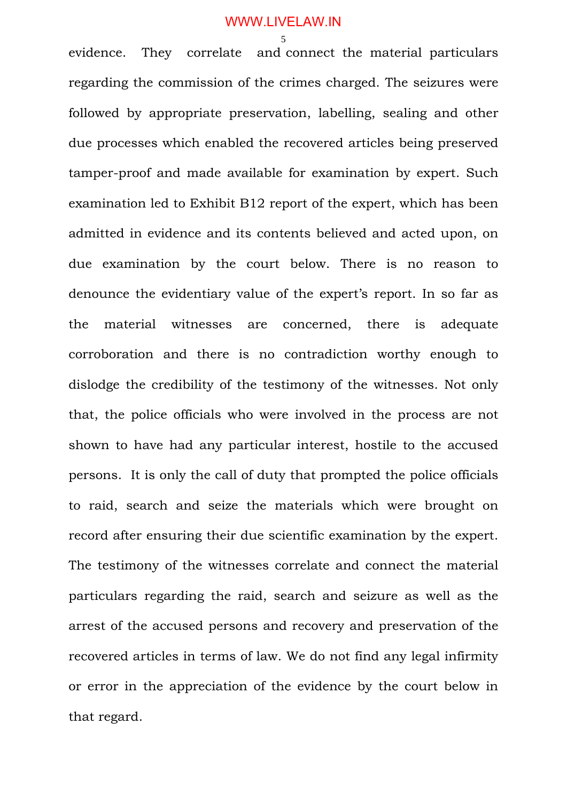evidence. They correlate and connect the material particulars regarding the commission of the crimes charged. The seizures were followed by appropriate preservation, labelling, sealing and other due processes which enabled the recovered articles being preserved tamper-proof and made available for examination by expert. Such examination led to Exhibit B12 report of the expert, which has been admitted in evidence and its contents believed and acted upon, on due examination by the court below. There is no reason to denounce the evidentiary value of the expert's report. In so far as the material witnesses are concerned, there is adequate corroboration and there is no contradiction worthy enough to dislodge the credibility of the testimony of the witnesses. Not only that, the police officials who were involved in the process are not shown to have had any particular interest, hostile to the accused persons. It is only the call of duty that prompted the police officials to raid, search and seize the materials which were brought on record after ensuring their due scientific examination by the expert. The testimony of the witnesses correlate and connect the material particulars regarding the raid, search and seizure as well as the arrest of the accused persons and recovery and preservation of the recovered articles in terms of law. We do not find any legal infirmity or error in the appreciation of the evidence by the court below in that regard.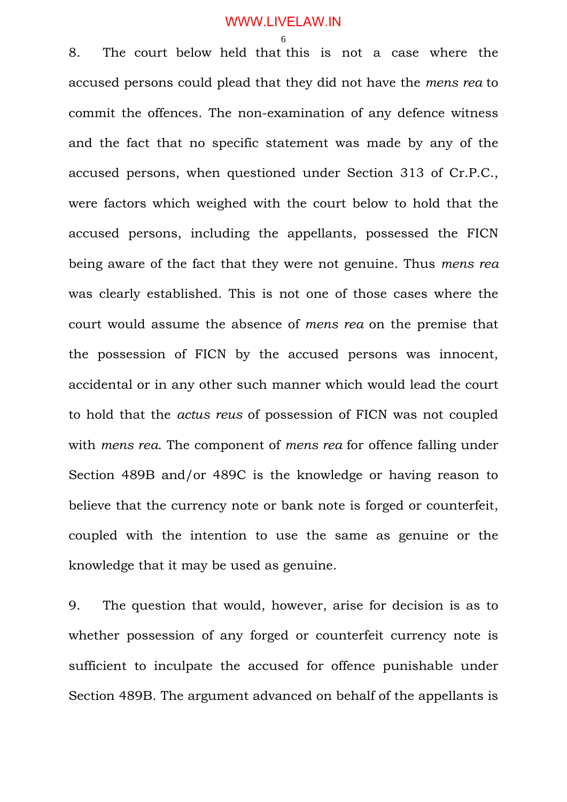8. The court below held that this is not a case where the accused persons could plead that they did not have the *mens rea* to commit the offences. The non-examination of any defence witness and the fact that no specific statement was made by any of the accused persons, when questioned under Section 313 of Cr.P.C., were factors which weighed with the court below to hold that the accused persons, including the appellants, possessed the FICN being aware of the fact that they were not genuine. Thus *mens rea* was clearly established. This is not one of those cases where the court would assume the absence of *mens rea* on the premise that the possession of FICN by the accused persons was innocent, accidental or in any other such manner which would lead the court to hold that the *actus reus* of possession of FICN was not coupled with *mens rea*. The component of *mens rea* for offence falling under Section 489B and/or 489C is the knowledge or having reason to believe that the currency note or bank note is forged or counterfeit, coupled with the intention to use the same as genuine or the knowledge that it may be used as genuine.

9. The question that would, however, arise for decision is as to whether possession of any forged or counterfeit currency note is sufficient to inculpate the accused for offence punishable under Section 489B. The argument advanced on behalf of the appellants is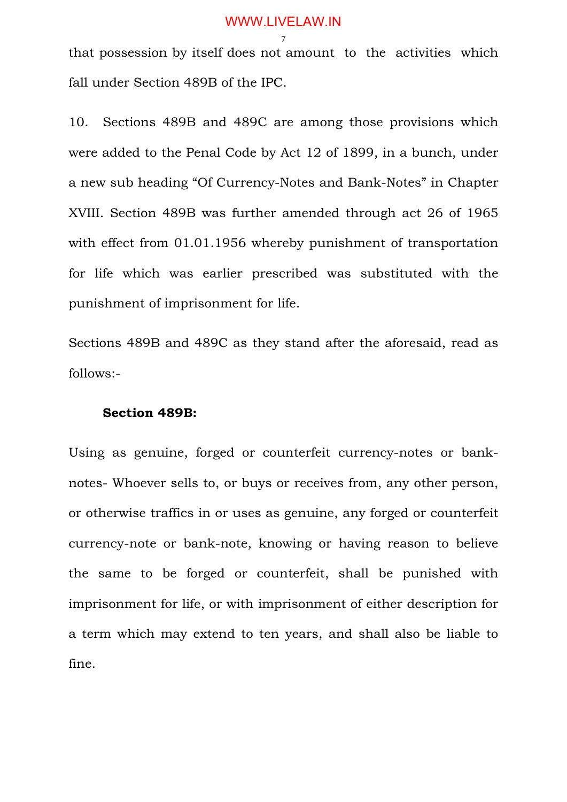that possession by itself does not amount to the activities which fall under Section 489B of the IPC.

10. Sections 489B and 489C are among those provisions which were added to the Penal Code by Act 12 of 1899, in a bunch, under a new sub heading "Of Currency-Notes and Bank-Notes" in Chapter XVIII. Section 489B was further amended through act 26 of 1965 with effect from 01.01.1956 whereby punishment of transportation for life which was earlier prescribed was substituted with the punishment of imprisonment for life.

Sections 489B and 489C as they stand after the aforesaid, read as follows:-

### **Section 489B:**

Using as genuine, forged or counterfeit currency-notes or banknotes- Whoever sells to, or buys or receives from, any other person, or otherwise traffics in or uses as genuine, any forged or counterfeit currency-note or bank-note, knowing or having reason to believe the same to be forged or counterfeit, shall be punished with imprisonment for life, or with imprisonment of either description for a term which may extend to ten years, and shall also be liable to fine.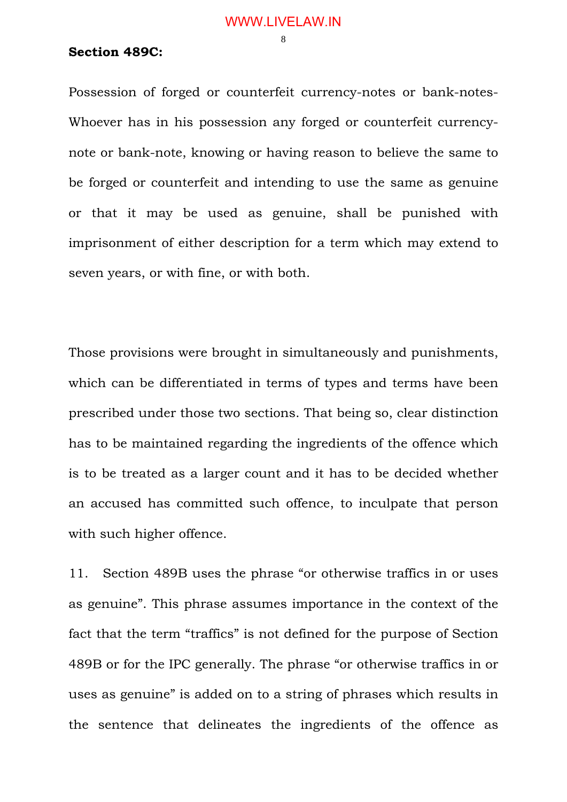### **Section 489C:**

Possession of forged or counterfeit currency-notes or bank-notes-Whoever has in his possession any forged or counterfeit currencynote or bank-note, knowing or having reason to believe the same to be forged or counterfeit and intending to use the same as genuine or that it may be used as genuine, shall be punished with imprisonment of either description for a term which may extend to seven years, or with fine, or with both.

Those provisions were brought in simultaneously and punishments, which can be differentiated in terms of types and terms have been prescribed under those two sections. That being so, clear distinction has to be maintained regarding the ingredients of the offence which is to be treated as a larger count and it has to be decided whether an accused has committed such offence, to inculpate that person with such higher offence.

11. Section 489B uses the phrase "or otherwise traffics in or uses as genuine". This phrase assumes importance in the context of the fact that the term "traffics" is not defined for the purpose of Section 489B or for the IPC generally. The phrase "or otherwise traffics in or uses as genuine" is added on to a string of phrases which results in the sentence that delineates the ingredients of the offence as

8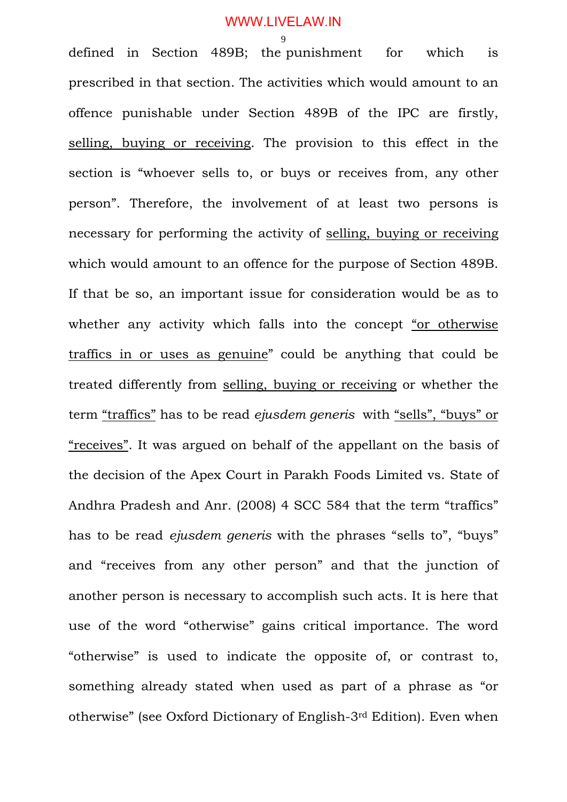9 defined in Section 489B; the punishment for which is prescribed in that section. The activities which would amount to an offence punishable under Section 489B of the IPC are firstly, selling, buying or receiving. The provision to this effect in the section is "whoever sells to, or buys or receives from, any other person". Therefore, the involvement of at least two persons is necessary for performing the activity of selling, buying or receiving which would amount to an offence for the purpose of Section 489B. If that be so, an important issue for consideration would be as to whether any activity which falls into the concept "or otherwise traffics in or uses as genuine" could be anything that could be treated differently from selling, buying or receiving or whether the term "traffics" has to be read *ejusdem generis* with "sells", "buys" or "receives". It was argued on behalf of the appellant on the basis of the decision of the Apex Court in Parakh Foods Limited vs. State of Andhra Pradesh and Anr. (2008) 4 SCC 584 that the term "traffics" has to be read *ejusdem generis* with the phrases "sells to", "buys" and "receives from any other person" and that the junction of another person is necessary to accomplish such acts. It is here that use of the word "otherwise" gains critical importance. The word "otherwise" is used to indicate the opposite of, or contrast to, something already stated when used as part of a phrase as "or otherwise" (see Oxford Dictionary of English-3rd Edition). Even when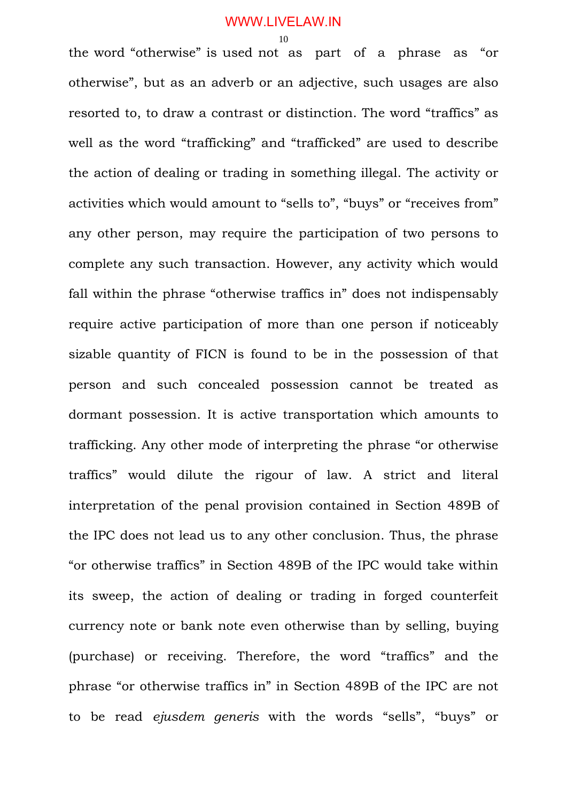the word "otherwise" is used not as part of a phrase as "or otherwise", but as an adverb or an adjective, such usages are also resorted to, to draw a contrast or distinction. The word "traffics" as well as the word "trafficking" and "trafficked" are used to describe the action of dealing or trading in something illegal. The activity or activities which would amount to "sells to", "buys" or "receives from" any other person, may require the participation of two persons to complete any such transaction. However, any activity which would fall within the phrase "otherwise traffics in" does not indispensably require active participation of more than one person if noticeably sizable quantity of FICN is found to be in the possession of that person and such concealed possession cannot be treated as dormant possession. It is active transportation which amounts to trafficking. Any other mode of interpreting the phrase "or otherwise traffics" would dilute the rigour of law. A strict and literal interpretation of the penal provision contained in Section 489B of the IPC does not lead us to any other conclusion. Thus, the phrase "or otherwise traffics" in Section 489B of the IPC would take within its sweep, the action of dealing or trading in forged counterfeit currency note or bank note even otherwise than by selling, buying (purchase) or receiving. Therefore, the word "traffics" and the phrase "or otherwise traffics in" in Section 489B of the IPC are not to be read *ejusdem generis* with the words "sells", "buys" or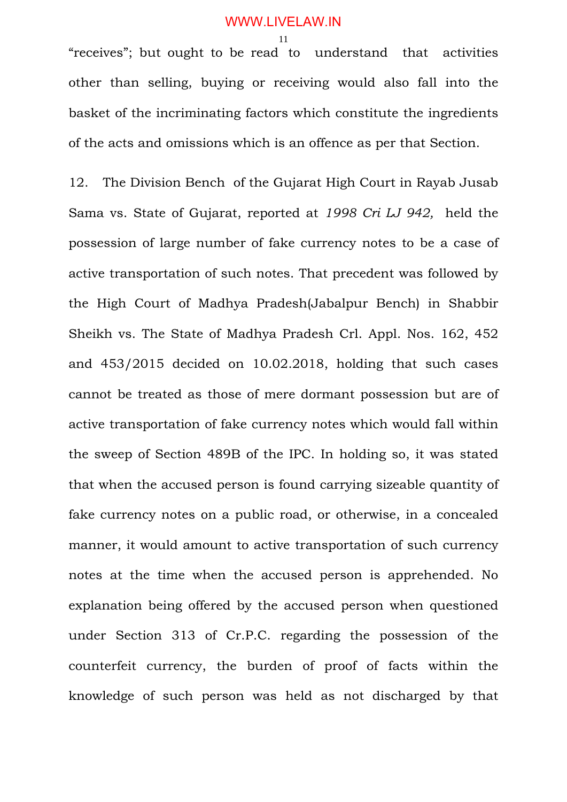"receives"; but ought to be read to understand that activities other than selling, buying or receiving would also fall into the basket of the incriminating factors which constitute the ingredients of the acts and omissions which is an offence as per that Section.

12. The Division Bench of the Gujarat High Court in Rayab Jusab Sama vs. State of Gujarat, reported at *1998 Cri LJ 942,* held the possession of large number of fake currency notes to be a case of active transportation of such notes. That precedent was followed by the High Court of Madhya Pradesh(Jabalpur Bench) in Shabbir Sheikh vs. The State of Madhya Pradesh Crl. Appl. Nos. 162, 452 and 453/2015 decided on 10.02.2018, holding that such cases cannot be treated as those of mere dormant possession but are of active transportation of fake currency notes which would fall within the sweep of Section 489B of the IPC. In holding so, it was stated that when the accused person is found carrying sizeable quantity of fake currency notes on a public road, or otherwise, in a concealed manner, it would amount to active transportation of such currency notes at the time when the accused person is apprehended. No explanation being offered by the accused person when questioned under Section 313 of Cr.P.C. regarding the possession of the counterfeit currency, the burden of proof of facts within the knowledge of such person was held as not discharged by that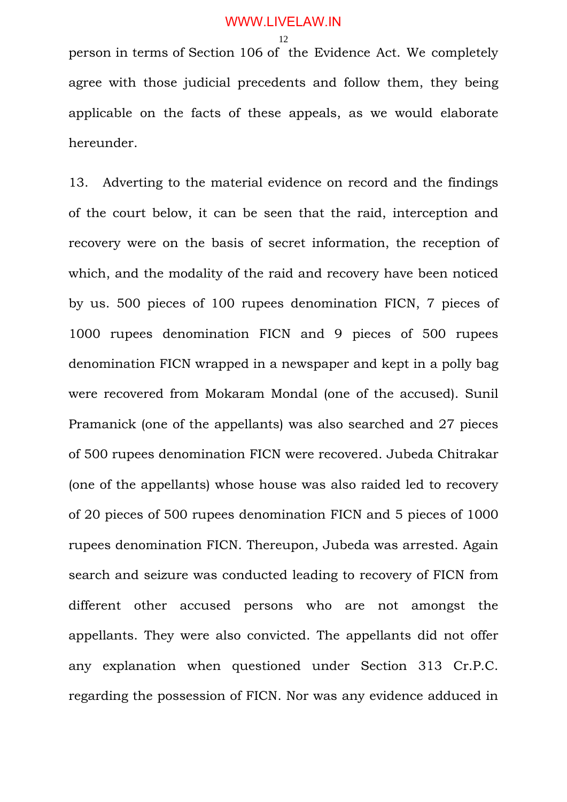person in terms of Section 106 of the Evidence Act. We completely agree with those judicial precedents and follow them, they being applicable on the facts of these appeals, as we would elaborate hereunder.

13. Adverting to the material evidence on record and the findings of the court below, it can be seen that the raid, interception and recovery were on the basis of secret information, the reception of which, and the modality of the raid and recovery have been noticed by us. 500 pieces of 100 rupees denomination FICN, 7 pieces of 1000 rupees denomination FICN and 9 pieces of 500 rupees denomination FICN wrapped in a newspaper and kept in a polly bag were recovered from Mokaram Mondal (one of the accused). Sunil Pramanick (one of the appellants) was also searched and 27 pieces of 500 rupees denomination FICN were recovered. Jubeda Chitrakar (one of the appellants) whose house was also raided led to recovery of 20 pieces of 500 rupees denomination FICN and 5 pieces of 1000 rupees denomination FICN. Thereupon, Jubeda was arrested. Again search and seizure was conducted leading to recovery of FICN from different other accused persons who are not amongst the appellants. They were also convicted. The appellants did not offer any explanation when questioned under Section 313 Cr.P.C. regarding the possession of FICN. Nor was any evidence adduced in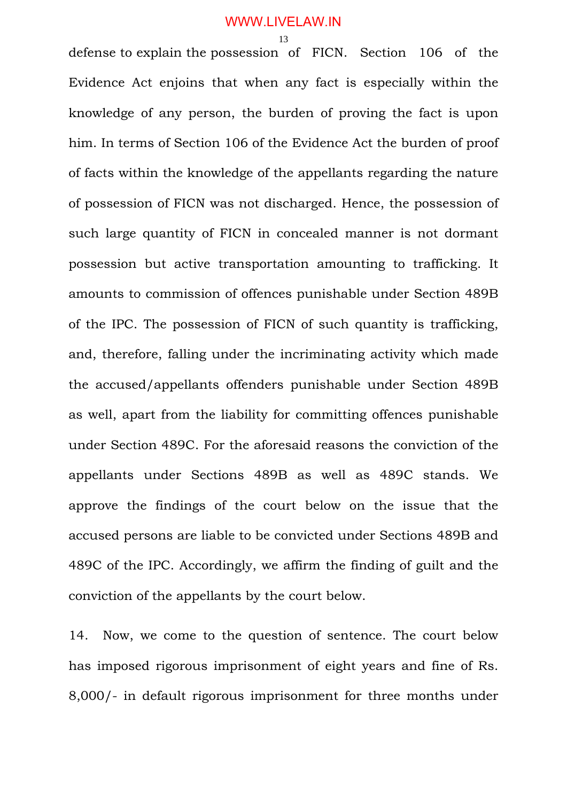defense to explain the possession of FICN. Section 106 of the Evidence Act enjoins that when any fact is especially within the knowledge of any person, the burden of proving the fact is upon him. In terms of Section 106 of the Evidence Act the burden of proof of facts within the knowledge of the appellants regarding the nature of possession of FICN was not discharged. Hence, the possession of such large quantity of FICN in concealed manner is not dormant possession but active transportation amounting to trafficking. It amounts to commission of offences punishable under Section 489B of the IPC. The possession of FICN of such quantity is trafficking, and, therefore, falling under the incriminating activity which made the accused/appellants offenders punishable under Section 489B as well, apart from the liability for committing offences punishable under Section 489C. For the aforesaid reasons the conviction of the appellants under Sections 489B as well as 489C stands. We approve the findings of the court below on the issue that the accused persons are liable to be convicted under Sections 489B and 489C of the IPC. Accordingly, we affirm the finding of guilt and the conviction of the appellants by the court below.

14. Now, we come to the question of sentence. The court below has imposed rigorous imprisonment of eight years and fine of Rs. 8,000/- in default rigorous imprisonment for three months under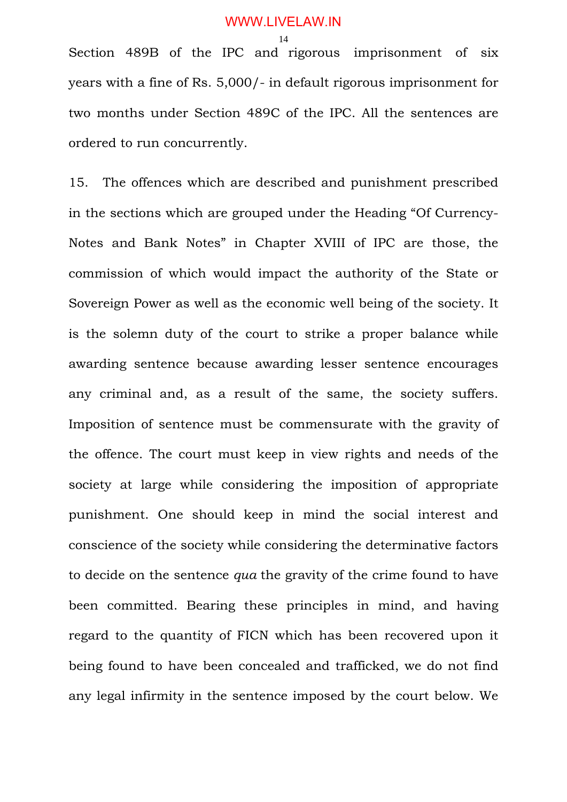Section 489B of the IPC and rigorous imprisonment of six years with a fine of Rs. 5,000/- in default rigorous imprisonment for two months under Section 489C of the IPC. All the sentences are ordered to run concurrently.

15. The offences which are described and punishment prescribed in the sections which are grouped under the Heading "Of Currency-Notes and Bank Notes" in Chapter XVIII of IPC are those, the commission of which would impact the authority of the State or Sovereign Power as well as the economic well being of the society. It is the solemn duty of the court to strike a proper balance while awarding sentence because awarding lesser sentence encourages any criminal and, as a result of the same, the society suffers. Imposition of sentence must be commensurate with the gravity of the offence. The court must keep in view rights and needs of the society at large while considering the imposition of appropriate punishment. One should keep in mind the social interest and conscience of the society while considering the determinative factors to decide on the sentence *qua* the gravity of the crime found to have been committed. Bearing these principles in mind, and having regard to the quantity of FICN which has been recovered upon it being found to have been concealed and trafficked, we do not find any legal infirmity in the sentence imposed by the court below. We